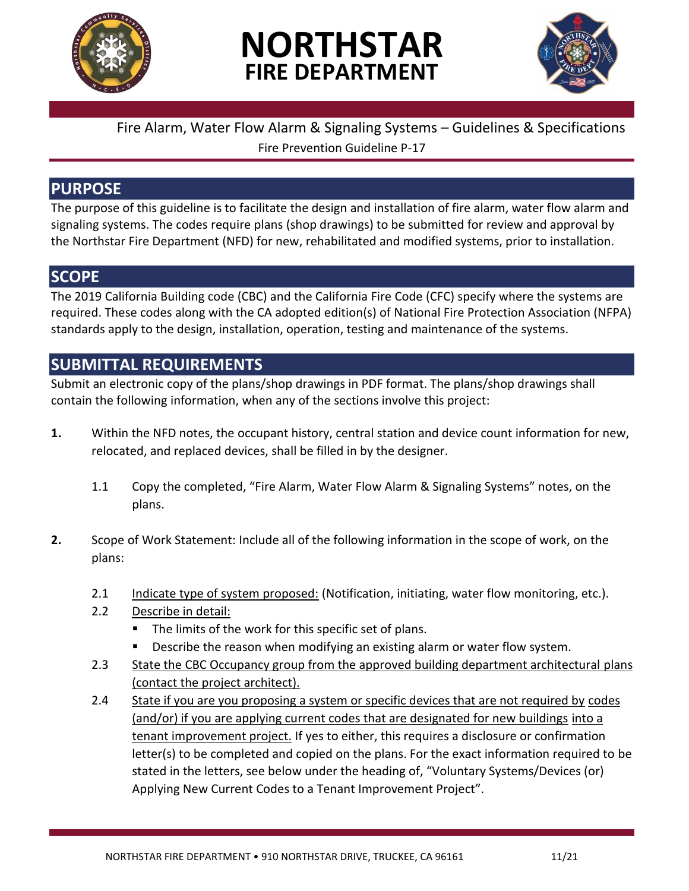

# **NORTHSTAR FIRE DEPARTMENT**



# Fire Alarm, Water Flow Alarm & Signaling Systems – Guidelines & Specifications Fire Prevention Guideline P-17

# **PURPOSE**

The purpose of this guideline is to facilitate the design and installation of fire alarm, water flow alarm and signaling systems. The codes require plans (shop drawings) to be submitted for review and approval by the Northstar Fire Department (NFD) for new, rehabilitated and modified systems, prior to installation.

# **SCOPE**

The 2019 California Building code (CBC) and the California Fire Code (CFC) specify where the systems are required. These codes along with the CA adopted edition(s) of National Fire Protection Association (NFPA) standards apply to the design, installation, operation, testing and maintenance of the systems.

# **SUBMITTAL REQUIREMENTS**

Submit an electronic copy of the plans/shop drawings in PDF format. The plans/shop drawings shall contain the following information, when any of the sections involve this project:

- **1.** Within the NFD notes, the occupant history, central station and device count information for new, relocated, and replaced devices, shall be filled in by the designer.
	- 1.1 Copy the completed, "Fire Alarm, Water Flow Alarm & Signaling Systems" notes, on the plans.
- **2.** Scope of Work Statement: Include all of the following information in the scope of work, on the plans:
	- 2.1 Indicate type of system proposed: (Notification, initiating, water flow monitoring, etc.).
	- 2.2 Describe in detail:
		- The limits of the work for this specific set of plans.
		- Describe the reason when modifying an existing alarm or water flow system.
	- 2.3 State the CBC Occupancy group from the approved building department architectural plans (contact the project architect).
	- 2.4 State if you are you proposing a system or specific devices that are not required by codes (and/or) if you are applying current codes that are designated for new buildings into a tenant improvement project. If yes to either, this requires a disclosure or confirmation letter(s) to be completed and copied on the plans. For the exact information required to be stated in the letters, see below under the heading of, "Voluntary Systems/Devices (or) Applying New Current Codes to a Tenant Improvement Project".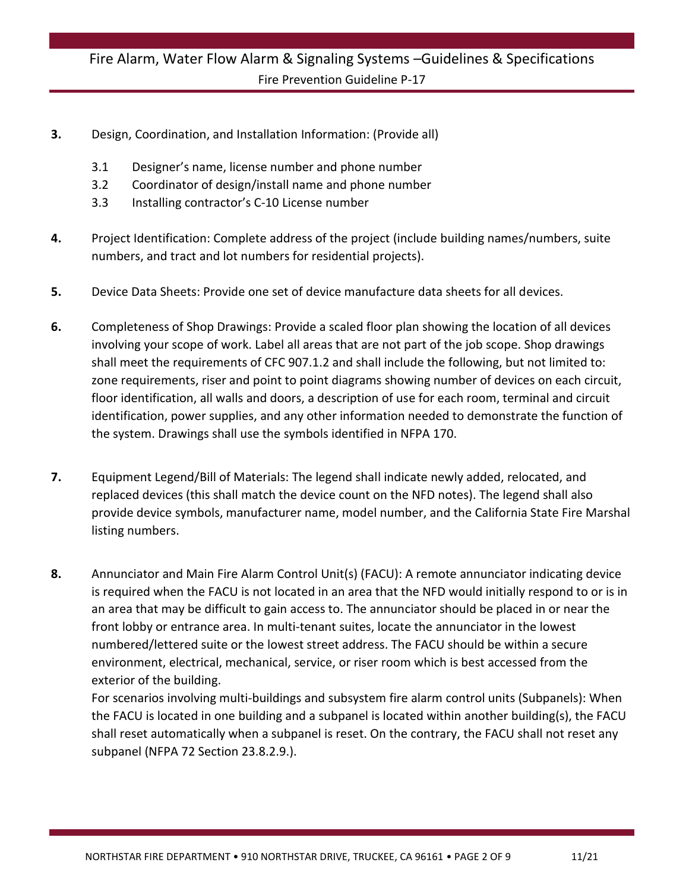- **3.** Design, Coordination, and Installation Information: (Provide all)
	- 3.1 Designer's name, license number and phone number
	- 3.2 Coordinator of design/install name and phone number
	- 3.3 Installing contractor's C-10 License number
- **4.** Project Identification: Complete address of the project (include building names/numbers, suite numbers, and tract and lot numbers for residential projects).
- **5.** Device Data Sheets: Provide one set of device manufacture data sheets for all devices.
- **6.** Completeness of Shop Drawings: Provide a scaled floor plan showing the location of all devices involving your scope of work. Label all areas that are not part of the job scope. Shop drawings shall meet the requirements of CFC 907.1.2 and shall include the following, but not limited to: zone requirements, riser and point to point diagrams showing number of devices on each circuit, floor identification, all walls and doors, a description of use for each room, terminal and circuit identification, power supplies, and any other information needed to demonstrate the function of the system. Drawings shall use the symbols identified in NFPA 170.
- **7.** Equipment Legend/Bill of Materials: The legend shall indicate newly added, relocated, and replaced devices (this shall match the device count on the NFD notes). The legend shall also provide device symbols, manufacturer name, model number, and the California State Fire Marshal listing numbers.
- **8.** Annunciator and Main Fire Alarm Control Unit(s) (FACU): A remote annunciator indicating device is required when the FACU is not located in an area that the NFD would initially respond to or is in an area that may be difficult to gain access to. The annunciator should be placed in or near the front lobby or entrance area. In multi-tenant suites, locate the annunciator in the lowest numbered/lettered suite or the lowest street address. The FACU should be within a secure environment, electrical, mechanical, service, or riser room which is best accessed from the exterior of the building.

For scenarios involving multi-buildings and subsystem fire alarm control units (Subpanels): When the FACU is located in one building and a subpanel is located within another building(s), the FACU shall reset automatically when a subpanel is reset. On the contrary, the FACU shall not reset any subpanel (NFPA 72 Section 23.8.2.9.).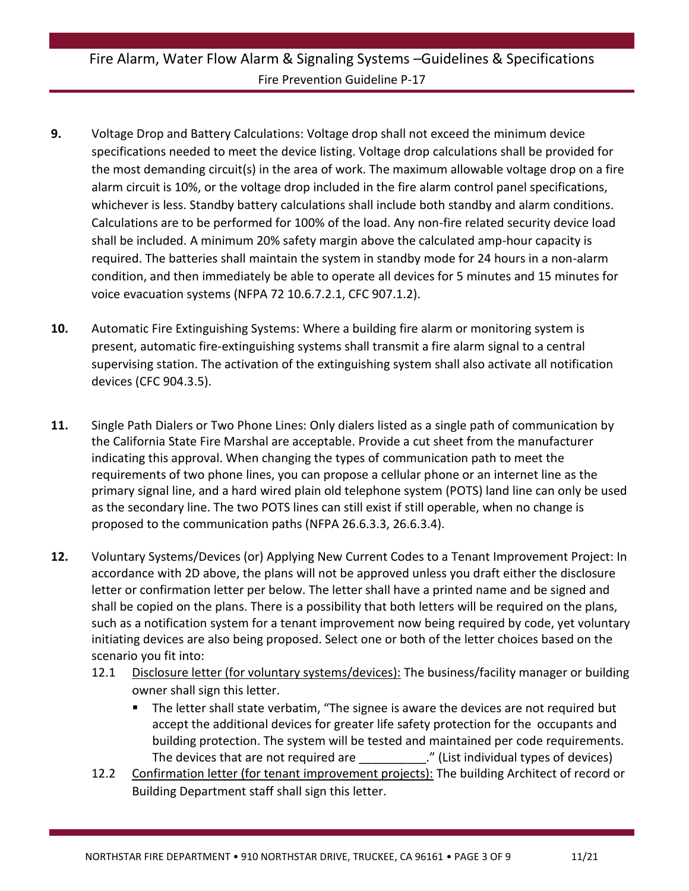- **9.** Voltage Drop and Battery Calculations: Voltage drop shall not exceed the minimum device specifications needed to meet the device listing. Voltage drop calculations shall be provided for the most demanding circuit(s) in the area of work. The maximum allowable voltage drop on a fire alarm circuit is 10%, or the voltage drop included in the fire alarm control panel specifications, whichever is less. Standby battery calculations shall include both standby and alarm conditions. Calculations are to be performed for 100% of the load. Any non-fire related security device load shall be included. A minimum 20% safety margin above the calculated amp-hour capacity is required. The batteries shall maintain the system in standby mode for 24 hours in a non-alarm condition, and then immediately be able to operate all devices for 5 minutes and 15 minutes for voice evacuation systems (NFPA 72 10.6.7.2.1, CFC 907.1.2).
- **10.** Automatic Fire Extinguishing Systems: Where a building fire alarm or monitoring system is present, automatic fire-extinguishing systems shall transmit a fire alarm signal to a central supervising station. The activation of the extinguishing system shall also activate all notification devices (CFC 904.3.5).
- **11.** Single Path Dialers or Two Phone Lines: Only dialers listed as a single path of communication by the California State Fire Marshal are acceptable. Provide a cut sheet from the manufacturer indicating this approval. When changing the types of communication path to meet the requirements of two phone lines, you can propose a cellular phone or an internet line as the primary signal line, and a hard wired plain old telephone system (POTS) land line can only be used as the secondary line. The two POTS lines can still exist if still operable, when no change is proposed to the communication paths (NFPA 26.6.3.3, 26.6.3.4).
- **12.** Voluntary Systems/Devices (or) Applying New Current Codes to a Tenant Improvement Project: In accordance with 2D above, the plans will not be approved unless you draft either the disclosure letter or confirmation letter per below. The letter shall have a printed name and be signed and shall be copied on the plans. There is a possibility that both letters will be required on the plans, such as a notification system for a tenant improvement now being required by code, yet voluntary initiating devices are also being proposed. Select one or both of the letter choices based on the scenario you fit into:
	- 12.1 Disclosure letter (for voluntary systems/devices): The business/facility manager or building owner shall sign this letter.
		- **The letter shall state verbatim, "The signee is aware the devices are not required but** accept the additional devices for greater life safety protection for the occupants and building protection. The system will be tested and maintained per code requirements. The devices that are not required are The devices individual types of devices)
	- 12.2 Confirmation letter (for tenant improvement projects): The building Architect of record or Building Department staff shall sign this letter.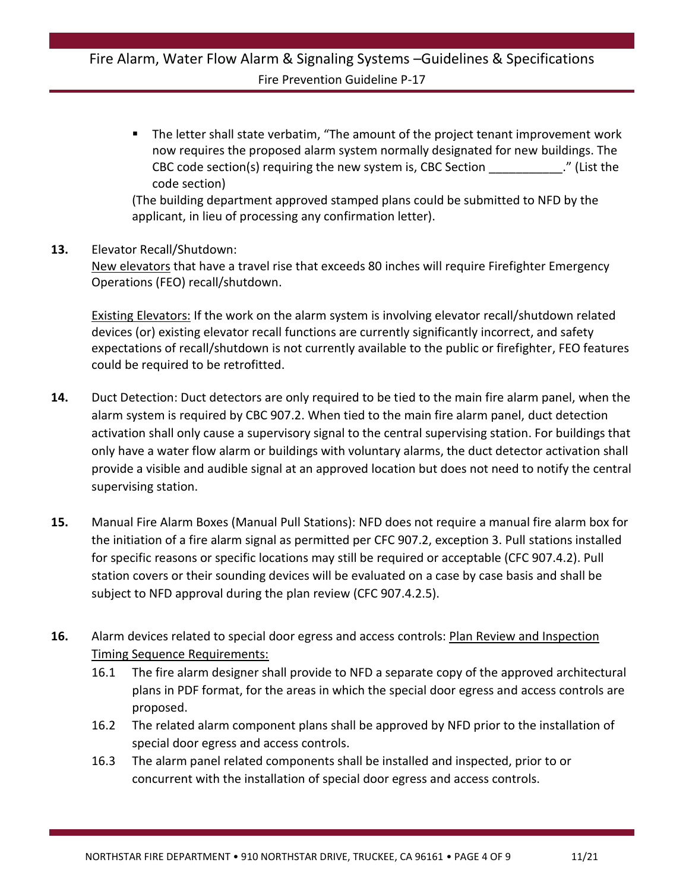The letter shall state verbatim, "The amount of the project tenant improvement work now requires the proposed alarm system normally designated for new buildings. The CBC code section(s) requiring the new system is, CBC Section \_\_\_\_\_\_\_\_\_\_\_." (List the code section)

(The building department approved stamped plans could be submitted to NFD by the applicant, in lieu of processing any confirmation letter).

#### **13.** Elevator Recall/Shutdown:

New elevators that have a travel rise that exceeds 80 inches will require Firefighter Emergency Operations (FEO) recall/shutdown.

Existing Elevators: If the work on the alarm system is involving elevator recall/shutdown related devices (or) existing elevator recall functions are currently significantly incorrect, and safety expectations of recall/shutdown is not currently available to the public or firefighter, FEO features could be required to be retrofitted.

- **14.** Duct Detection: Duct detectors are only required to be tied to the main fire alarm panel, when the alarm system is required by CBC 907.2. When tied to the main fire alarm panel, duct detection activation shall only cause a supervisory signal to the central supervising station. For buildings that only have a water flow alarm or buildings with voluntary alarms, the duct detector activation shall provide a visible and audible signal at an approved location but does not need to notify the central supervising station.
- **15.** Manual Fire Alarm Boxes (Manual Pull Stations): NFD does not require a manual fire alarm box for the initiation of a fire alarm signal as permitted per CFC 907.2, exception 3. Pull stations installed for specific reasons or specific locations may still be required or acceptable (CFC 907.4.2). Pull station covers or their sounding devices will be evaluated on a case by case basis and shall be subject to NFD approval during the plan review (CFC 907.4.2.5).
- 16. Alarm devices related to special door egress and access controls: Plan Review and Inspection Timing Sequence Requirements:
	- 16.1 The fire alarm designer shall provide to NFD a separate copy of the approved architectural plans in PDF format, for the areas in which the special door egress and access controls are proposed.
	- 16.2 The related alarm component plans shall be approved by NFD prior to the installation of special door egress and access controls.
	- 16.3 The alarm panel related components shall be installed and inspected, prior to or concurrent with the installation of special door egress and access controls.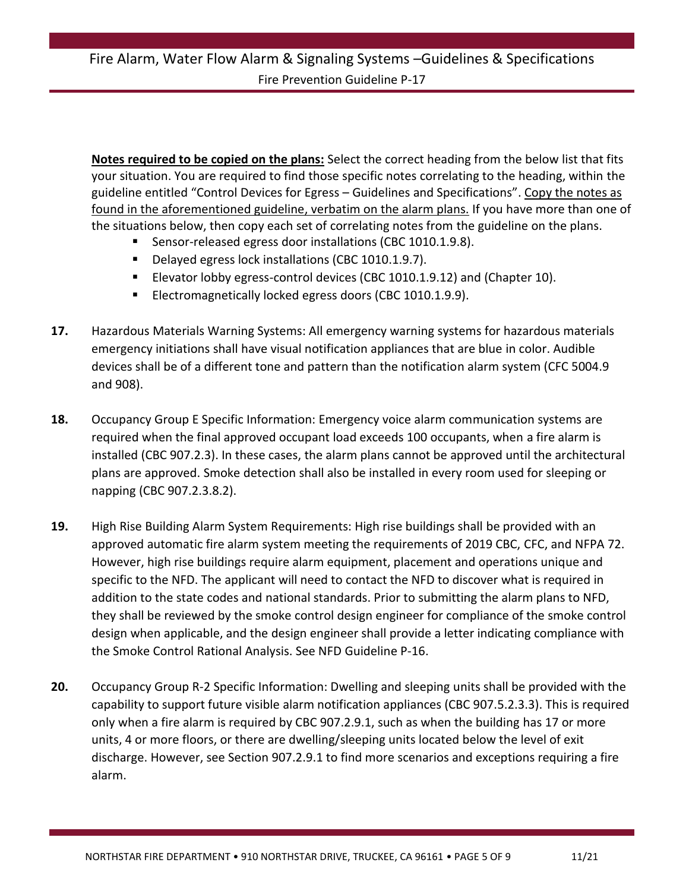**Notes required to be copied on the plans:** Select the correct heading from the below list that fits your situation. You are required to find those specific notes correlating to the heading, within the guideline entitled "Control Devices for Egress – Guidelines and Specifications". Copy the notes as found in the aforementioned guideline, verbatim on the alarm plans. If you have more than one of the situations below, then copy each set of correlating notes from the guideline on the plans.

- Sensor-released egress door installations (CBC 1010.1.9.8).
- Delayed egress lock installations (CBC 1010.1.9.7).
- Elevator lobby egress-control devices (CBC 1010.1.9.12) and (Chapter 10).
- Electromagnetically locked egress doors (CBC 1010.1.9.9).
- **17.** Hazardous Materials Warning Systems: All emergency warning systems for hazardous materials emergency initiations shall have visual notification appliances that are blue in color. Audible devices shall be of a different tone and pattern than the notification alarm system (CFC 5004.9 and 908).
- **18.** Occupancy Group E Specific Information: Emergency voice alarm communication systems are required when the final approved occupant load exceeds 100 occupants, when a fire alarm is installed (CBC 907.2.3). In these cases, the alarm plans cannot be approved until the architectural plans are approved. Smoke detection shall also be installed in every room used for sleeping or napping (CBC 907.2.3.8.2).
- **19.** High Rise Building Alarm System Requirements: High rise buildings shall be provided with an approved automatic fire alarm system meeting the requirements of 2019 CBC, CFC, and NFPA 72. However, high rise buildings require alarm equipment, placement and operations unique and specific to the NFD. The applicant will need to contact the NFD to discover what is required in addition to the state codes and national standards. Prior to submitting the alarm plans to NFD, they shall be reviewed by the smoke control design engineer for compliance of the smoke control design when applicable, and the design engineer shall provide a letter indicating compliance with the Smoke Control Rational Analysis. See NFD Guideline P-16.
- **20.** Occupancy Group R-2 Specific Information: Dwelling and sleeping units shall be provided with the capability to support future visible alarm notification appliances (CBC 907.5.2.3.3). This is required only when a fire alarm is required by CBC 907.2.9.1, such as when the building has 17 or more units, 4 or more floors, or there are dwelling/sleeping units located below the level of exit discharge. However, see Section 907.2.9.1 to find more scenarios and exceptions requiring a fire alarm.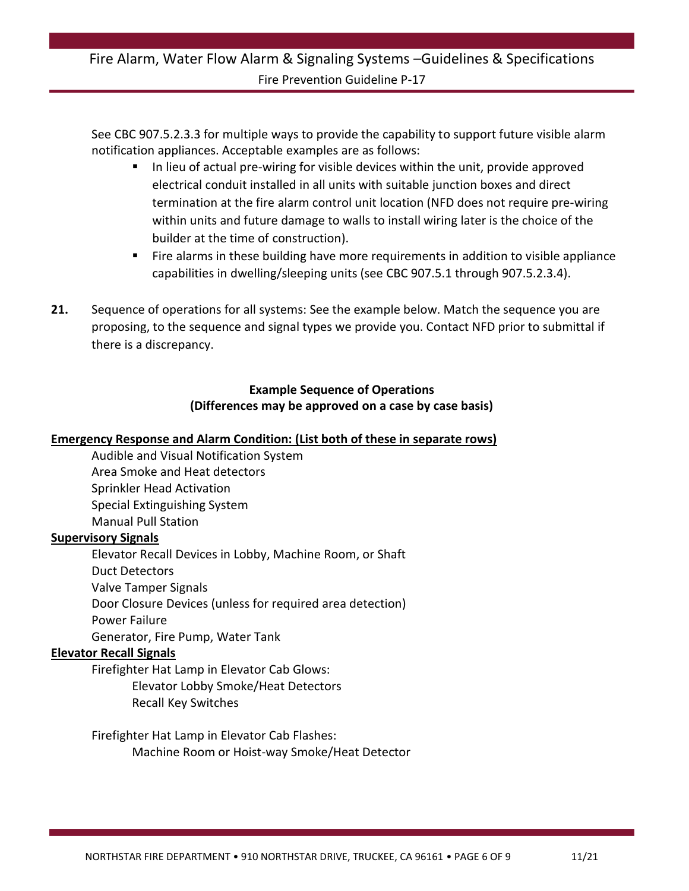See CBC 907.5.2.3.3 for multiple ways to provide the capability to support future visible alarm notification appliances. Acceptable examples are as follows:

- In lieu of actual pre-wiring for visible devices within the unit, provide approved electrical conduit installed in all units with suitable junction boxes and direct termination at the fire alarm control unit location (NFD does not require pre-wiring within units and future damage to walls to install wiring later is the choice of the builder at the time of construction).
- **Fire alarms in these building have more requirements in addition to visible appliance** capabilities in dwelling/sleeping units (see CBC 907.5.1 through 907.5.2.3.4).
- **21.** Sequence of operations for all systems: See the example below. Match the sequence you are proposing, to the sequence and signal types we provide you. Contact NFD prior to submittal if there is a discrepancy.

#### **Example Sequence of Operations (Differences may be approved on a case by case basis)**

#### **Emergency Response and Alarm Condition: (List both of these in separate rows)**

Audible and Visual Notification System Area Smoke and Heat detectors Sprinkler Head Activation Special Extinguishing System Manual Pull Station

#### **Supervisory Signals**

Elevator Recall Devices in Lobby, Machine Room, or Shaft Duct Detectors Valve Tamper Signals Door Closure Devices (unless for required area detection) Power Failure Generator, Fire Pump, Water Tank

#### **Elevator Recall Signals**

Firefighter Hat Lamp in Elevator Cab Glows:

Elevator Lobby Smoke/Heat Detectors Recall Key Switches

Firefighter Hat Lamp in Elevator Cab Flashes: Machine Room or Hoist-way Smoke/Heat Detector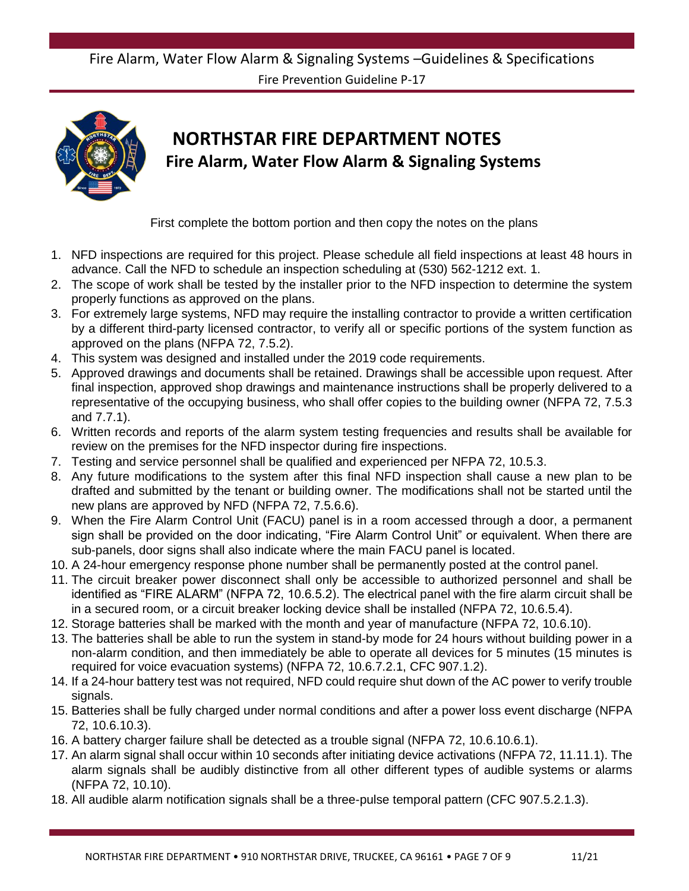# Fire Alarm, Water Flow Alarm & Signaling Systems –Guidelines & Specifications

Fire Prevention Guideline P-17



# **NORTHSTAR FIRE DEPARTMENT NOTES Fire Alarm, Water Flow Alarm & Signaling Systems**

First complete the bottom portion and then copy the notes on the plans

- 1. NFD inspections are required for this project. Please schedule all field inspections at least 48 hours in advance. Call the NFD to schedule an inspection scheduling at (530) 562-1212 ext. 1.
- 2. The scope of work shall be tested by the installer prior to the NFD inspection to determine the system properly functions as approved on the plans.
- 3. For extremely large systems, NFD may require the installing contractor to provide a written certification by a different third-party licensed contractor, to verify all or specific portions of the system function as approved on the plans (NFPA 72, 7.5.2).
- 4. This system was designed and installed under the 2019 code requirements.
- 5. Approved drawings and documents shall be retained. Drawings shall be accessible upon request. After final inspection, approved shop drawings and maintenance instructions shall be properly delivered to a representative of the occupying business, who shall offer copies to the building owner (NFPA 72, 7.5.3 and 7.7.1).
- 6. Written records and reports of the alarm system testing frequencies and results shall be available for review on the premises for the NFD inspector during fire inspections.
- 7. Testing and service personnel shall be qualified and experienced per NFPA 72, 10.5.3.
- 8. Any future modifications to the system after this final NFD inspection shall cause a new plan to be drafted and submitted by the tenant or building owner. The modifications shall not be started until the new plans are approved by NFD (NFPA 72, 7.5.6.6).
- 9. When the Fire Alarm Control Unit (FACU) panel is in a room accessed through a door, a permanent sign shall be provided on the door indicating, "Fire Alarm Control Unit" or equivalent. When there are sub-panels, door signs shall also indicate where the main FACU panel is located.
- 10. A 24-hour emergency response phone number shall be permanently posted at the control panel.
- 11. The circuit breaker power disconnect shall only be accessible to authorized personnel and shall be identified as "FIRE ALARM" (NFPA 72, 10.6.5.2). The electrical panel with the fire alarm circuit shall be in a secured room, or a circuit breaker locking device shall be installed (NFPA 72, 10.6.5.4).
- 12. Storage batteries shall be marked with the month and year of manufacture (NFPA 72, 10.6.10).
- 13. The batteries shall be able to run the system in stand-by mode for 24 hours without building power in a non-alarm condition, and then immediately be able to operate all devices for 5 minutes (15 minutes is required for voice evacuation systems) (NFPA 72, 10.6.7.2.1, CFC 907.1.2).
- 14. If a 24-hour battery test was not required, NFD could require shut down of the AC power to verify trouble signals.
- 15. Batteries shall be fully charged under normal conditions and after a power loss event discharge (NFPA 72, 10.6.10.3).
- 16. A battery charger failure shall be detected as a trouble signal (NFPA 72, 10.6.10.6.1).
- 17. An alarm signal shall occur within 10 seconds after initiating device activations (NFPA 72, 11.11.1). The alarm signals shall be audibly distinctive from all other different types of audible systems or alarms (NFPA 72, 10.10).
- 18. All audible alarm notification signals shall be a three-pulse temporal pattern (CFC 907.5.2.1.3).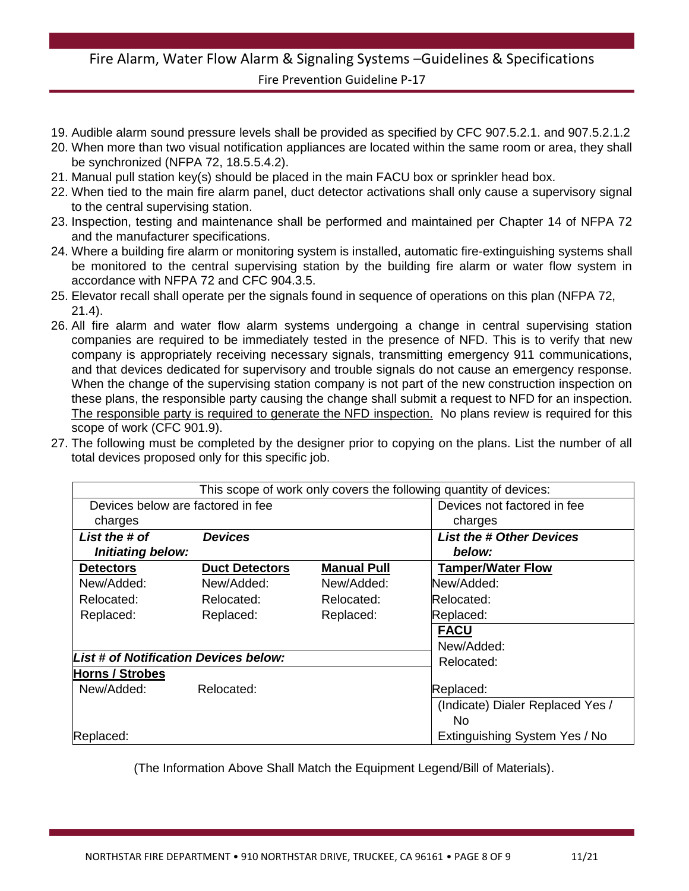- 19. Audible alarm sound pressure levels shall be provided as specified by CFC 907.5.2.1. and 907.5.2.1.2
- 20. When more than two visual notification appliances are located within the same room or area, they shall be synchronized (NFPA 72, 18.5.5.4.2).
- 21. Manual pull station key(s) should be placed in the main FACU box or sprinkler head box.
- 22. When tied to the main fire alarm panel, duct detector activations shall only cause a supervisory signal to the central supervising station.
- 23. Inspection, testing and maintenance shall be performed and maintained per Chapter 14 of NFPA 72 and the manufacturer specifications.
- 24. Where a building fire alarm or monitoring system is installed, automatic fire-extinguishing systems shall be monitored to the central supervising station by the building fire alarm or water flow system in accordance with NFPA 72 and CFC 904.3.5.
- 25. Elevator recall shall operate per the signals found in sequence of operations on this plan (NFPA 72, 21.4).
- 26. All fire alarm and water flow alarm systems undergoing a change in central supervising station companies are required to be immediately tested in the presence of NFD. This is to verify that new company is appropriately receiving necessary signals, transmitting emergency 911 communications, and that devices dedicated for supervisory and trouble signals do not cause an emergency response. When the change of the supervising station company is not part of the new construction inspection on these plans, the responsible party causing the change shall submit a request to NFD for an inspection. The responsible party is required to generate the NFD inspection. No plans review is required for this scope of work (CFC 901.9).
- 27. The following must be completed by the designer prior to copying on the plans. List the number of all total devices proposed only for this specific job.

|                                       |                       |                    | This scope of work only covers the following quantity of devices: |
|---------------------------------------|-----------------------|--------------------|-------------------------------------------------------------------|
| Devices below are factored in fee     |                       |                    | Devices not factored in fee                                       |
| charges                               |                       |                    | charges                                                           |
| List the # of                         | <b>Devices</b>        |                    | <b>List the # Other Devices</b>                                   |
| Initiating below:                     |                       |                    | below:                                                            |
| <b>Detectors</b>                      | <b>Duct Detectors</b> | <b>Manual Pull</b> | <b>Tamper/Water Flow</b>                                          |
| New/Added:                            | New/Added:            | New/Added:         | New/Added:                                                        |
| Relocated:                            | Relocated:            | Relocated:         | Relocated:                                                        |
| Replaced:                             | Replaced:             | Replaced:          | Replaced:                                                         |
|                                       |                       |                    | <b>FACU</b>                                                       |
|                                       |                       |                    | New/Added:                                                        |
| List # of Notification Devices below: |                       |                    | Relocated:                                                        |
| <b>Horns / Strobes</b>                |                       |                    |                                                                   |
| New/Added:                            | Relocated:            |                    | Replaced:                                                         |
|                                       |                       |                    | (Indicate) Dialer Replaced Yes /                                  |
|                                       |                       |                    | No.                                                               |
| Replaced:                             |                       |                    | Extinguishing System Yes / No                                     |

(The Information Above Shall Match the Equipment Legend/Bill of Materials).